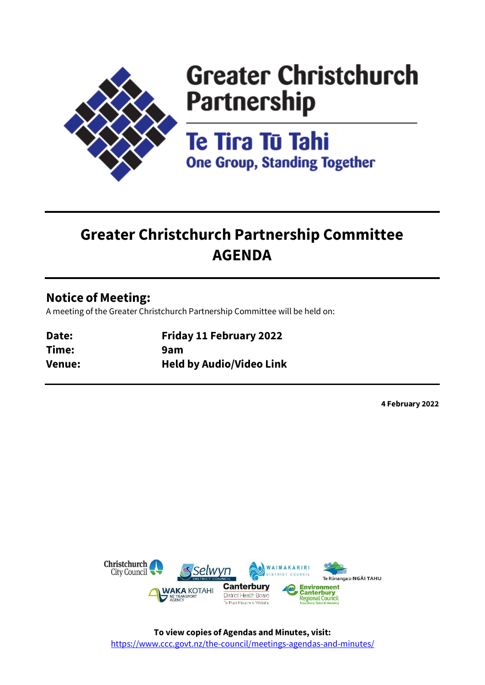

# **Greater Christchurch Partnership**

Te Tira Tū Tahi **One Group, Standing Together** 

# **Greater Christchurch Partnership Committee AGENDA**

# **Notice of Meeting:**

A meeting of the Greater Christchurch Partnership Committee will be held on:

| Date:  | <b>Friday 11 February 2022</b>  |
|--------|---------------------------------|
| Time:  | 9am                             |
| Venue: | <b>Held by Audio/Video Link</b> |

**4 February 2022**

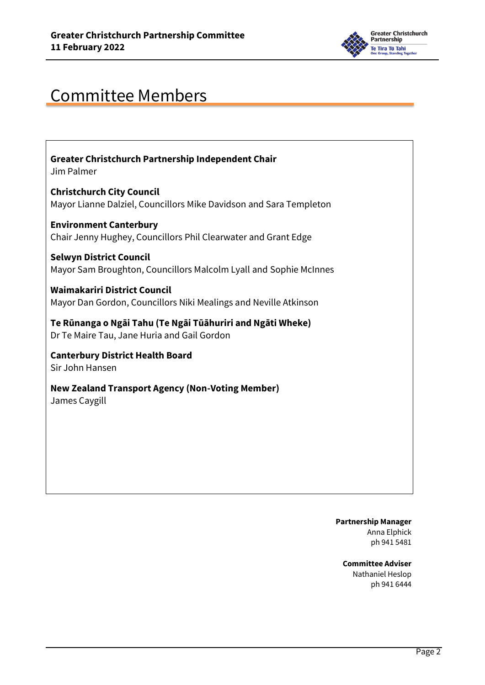

# Committee Members

**Greater Christchurch Partnership Independent Chair**  Jim Palmer

**Christchurch City Council**  Mayor Lianne Dalziel, Councillors Mike Davidson and Sara Templeton

**Environment Canterbury**  Chair Jenny Hughey, Councillors Phil Clearwater and Grant Edge

**Selwyn District Council**  Mayor Sam Broughton, Councillors Malcolm Lyall and Sophie McInnes

**Waimakariri District Council**  Mayor Dan Gordon, Councillors Niki Mealings and Neville Atkinson

**Te Rūnanga o Ngāi Tahu (Te Ngāi Tūāhuriri and Ngāti Wheke)**  Dr Te Maire Tau, Jane Huria and Gail Gordon

**Canterbury District Health Board**  Sir John Hansen

**New Zealand Transport Agency (Non-Voting Member)** James Caygill

> **Partnership Manager** Anna Elphick ph 941 5481

**Committee Adviser** Nathaniel Heslop ph 941 6444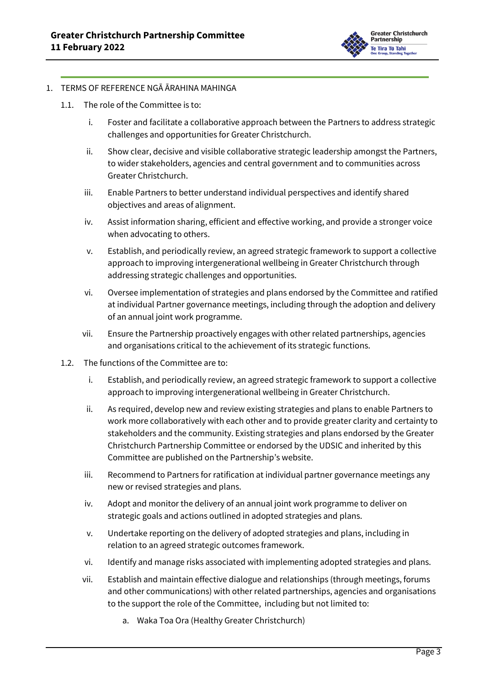

## 1. TERMS OF REFERENCE NGĀ ĀRAHINA MAHINGA

- 1.1. The role of the Committee is to:
	- i. Foster and facilitate a collaborative approach between the Partners to address strategic challenges and opportunities for Greater Christchurch.
	- ii. Show clear, decisive and visible collaborative strategic leadership amongst the Partners, to wider stakeholders, agencies and central government and to communities across Greater Christchurch.
	- iii. Enable Partners to better understand individual perspectives and identify shared objectives and areas of alignment.
	- iv. Assist information sharing, efficient and effective working, and provide a stronger voice when advocating to others.
	- v. Establish, and periodically review, an agreed strategic framework to support a collective approach to improving intergenerational wellbeing in Greater Christchurch through addressing strategic challenges and opportunities.
	- vi. Oversee implementation of strategies and plans endorsed by the Committee and ratified at individual Partner governance meetings, including through the adoption and delivery of an annual joint work programme.
	- vii. Ensure the Partnership proactively engages with other related partnerships, agencies and organisations critical to the achievement of its strategic functions.
- 1.2. The functions of the Committee are to:
	- i. Establish, and periodically review, an agreed strategic framework to support a collective approach to improving intergenerational wellbeing in Greater Christchurch.
	- ii. As required, develop new and review existing strategies and plans to enable Partners to work more collaboratively with each other and to provide greater clarity and certainty to stakeholders and the community. Existing strategies and plans endorsed by the Greater Christchurch Partnership Committee or endorsed by the UDSIC and inherited by this Committee are published on the Partnership's website.
	- iii. Recommend to Partners for ratification at individual partner governance meetings any new or revised strategies and plans.
	- iv. Adopt and monitor the delivery of an annual joint work programme to deliver on strategic goals and actions outlined in adopted strategies and plans.
	- v. Undertake reporting on the delivery of adopted strategies and plans, including in relation to an agreed strategic outcomes framework.
	- vi. Identify and manage risks associated with implementing adopted strategies and plans.
	- vii. Establish and maintain effective dialogue and relationships (through meetings, forums and other communications) with other related partnerships, agencies and organisations to the support the role of the Committee, including but not limited to:
		- a. Waka Toa Ora (Healthy Greater Christchurch)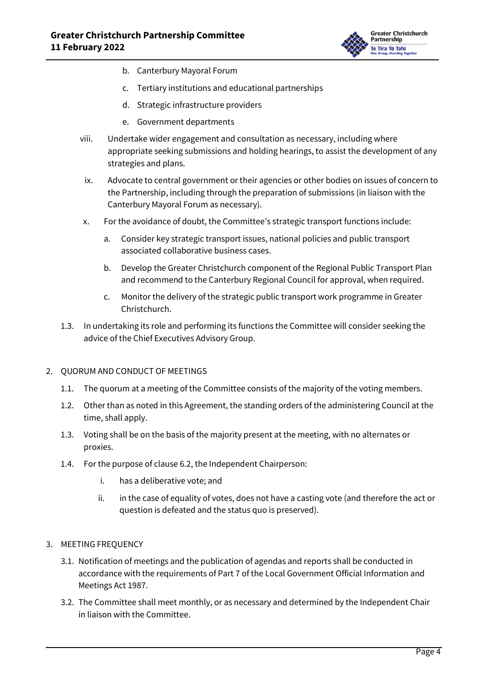

- b. Canterbury Mayoral Forum
- c. Tertiary institutions and educational partnerships
- d. Strategic infrastructure providers
- e. Government departments
- viii. Undertake wider engagement and consultation as necessary, including where appropriate seeking submissions and holding hearings, to assist the development of any strategies and plans.
- ix. Advocate to central government or their agencies or other bodies on issues of concern to the Partnership, including through the preparation of submissions (in liaison with the Canterbury Mayoral Forum as necessary).
- x. For the avoidance of doubt, the Committee's strategic transport functions include:
	- a. Consider key strategic transport issues, national policies and public transport associated collaborative business cases.
	- b. Develop the Greater Christchurch component of the Regional Public Transport Plan and recommend to the Canterbury Regional Council for approval, when required.
	- c. Monitor the delivery of the strategic public transport work programme in Greater Christchurch.
- 1.3. In undertaking its role and performing its functions the Committee will consider seeking the advice of the Chief Executives Advisory Group.

## 2. QUORUM AND CONDUCT OF MEETINGS

- 1.1. The quorum at a meeting of the Committee consists of the majority of the voting members.
- 1.2. Other than as noted in this Agreement, the standing orders of the administering Council at the time, shall apply.
- 1.3. Voting shall be on the basis of the majority present at the meeting, with no alternates or proxies.
- 1.4. For the purpose of clause 6.2, the Independent Chairperson:
	- i. has a deliberative vote; and
	- ii. in the case of equality of votes, does not have a casting vote (and therefore the act or question is defeated and the status quo is preserved).
- 3. MEETING FREQUENCY
	- 3.1. Notification of meetings and the publication of agendas and reports shall be conducted in accordance with the requirements of Part 7 of the Local Government Official Information and Meetings Act 1987.
	- 3.2. The Committee shall meet monthly, or as necessary and determined by the Independent Chair in liaison with the Committee.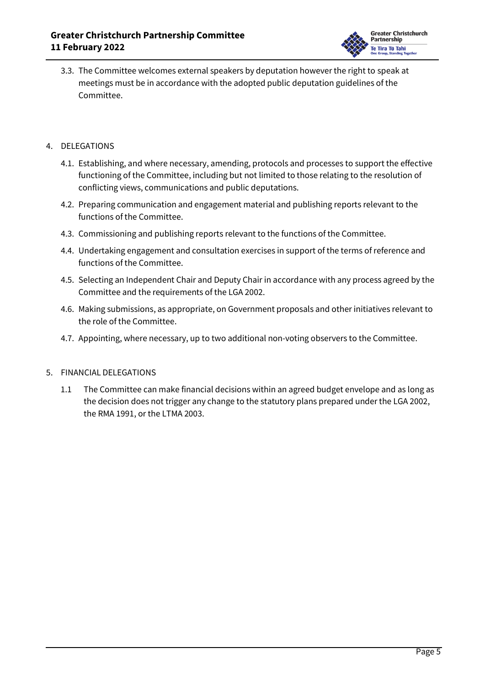

3.3. The Committee welcomes external speakers by deputation however the right to speak at meetings must be in accordance with the adopted public deputation guidelines of the Committee.

# 4. DELEGATIONS

- 4.1. Establishing, and where necessary, amending, protocols and processes to support the effective functioning of the Committee, including but not limited to those relating to the resolution of conflicting views, communications and public deputations.
- 4.2. Preparing communication and engagement material and publishing reports relevant to the functions of the Committee.
- 4.3. Commissioning and publishing reports relevant to the functions of the Committee.
- 4.4. Undertaking engagement and consultation exercises in support of the terms of reference and functions of the Committee.
- 4.5. Selecting an Independent Chair and Deputy Chair in accordance with any process agreed by the Committee and the requirements of the LGA 2002.
- 4.6. Making submissions, as appropriate, on Government proposals and other initiatives relevant to the role of the Committee.
- 4.7. Appointing, where necessary, up to two additional non-voting observers to the Committee.

## 5. FINANCIAL DELEGATIONS

1.1 The Committee can make financial decisions within an agreed budget envelope and as long as the decision does not trigger any change to the statutory plans prepared under the LGA 2002, the RMA 1991, or the LTMA 2003.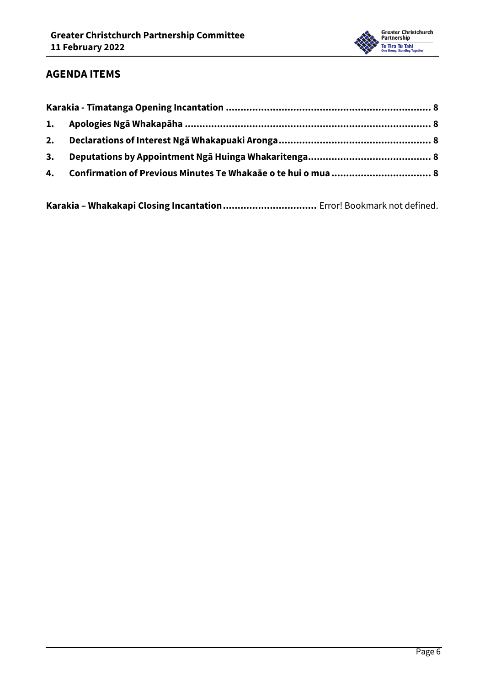

# **AGENDA ITEMS**

**Karakia – Whakakapi Closing Incantation................................** Error! Bookmark not defined.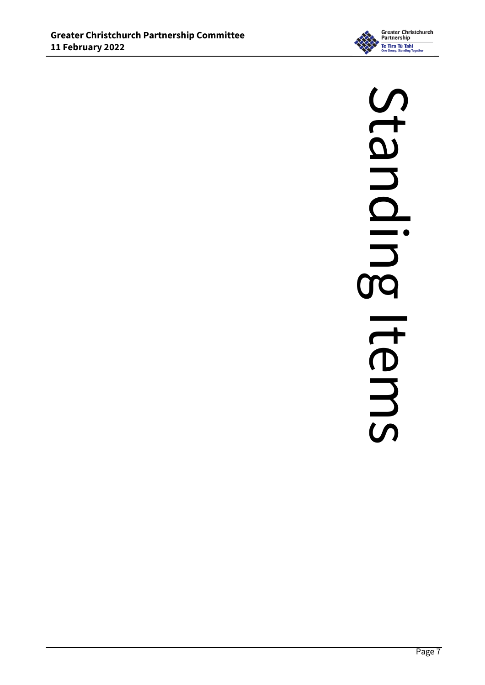

# Standling Standing Items**Items**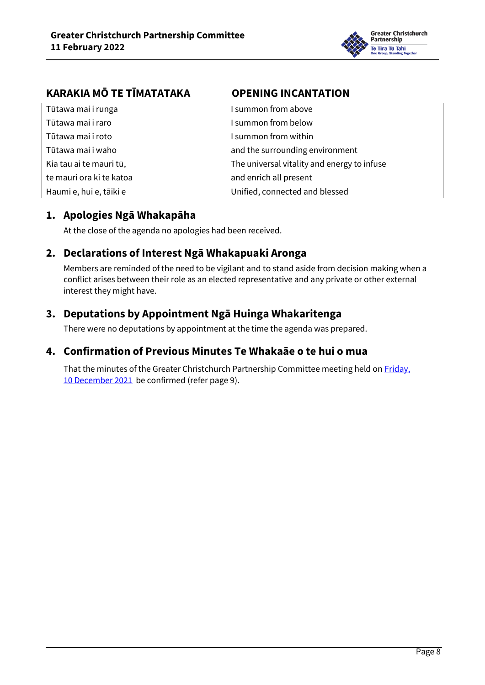

<span id="page-7-0"></span>

| KARAKIA MŌ TE TĪMATATAKA | <b>OPENING INCANTATION</b>                  |
|--------------------------|---------------------------------------------|
| Tūtawa mai i runga       | I summon from above                         |
| Tūtawa mai i raro        | I summon from below                         |
| Tūtawa mai i roto        | I summon from within                        |
| Tūtawa mai i waho        | and the surrounding environment             |
| Kia tau ai te mauri tū,  | The universal vitality and energy to infuse |
| te mauri ora ki te katoa | and enrich all present                      |
| Haumi e, hui e, tāiki e  | Unified, connected and blessed              |

# <span id="page-7-1"></span>**1. Apologies Ngā Whakapāha**

At the close of the agenda no apologies had been received.

# <span id="page-7-2"></span>**2. Declarations of Interest Ngā Whakapuaki Aronga**

Members are reminded of the need to be vigilant and to stand aside from decision making when a conflict arises between their role as an elected representative and any private or other external interest they might have.

# <span id="page-7-3"></span>**3. Deputations by Appointment Ngā Huinga Whakaritenga**

There were no deputations by appointment at the time the agenda was prepared.

# <span id="page-7-4"></span>**4. Confirmation of Previous Minutes Te Whakaāe o te hui o mua**

That the minutes of the Greater Christchurch Partnership Committee meeting held on Friday, [10 December 2021](../../../RedirectToInvalidFileName.aspx?FileName=GCPC_20211210_MIN_5689.PDF) be confirmed (refer pag[e 9\)](#page-8-0).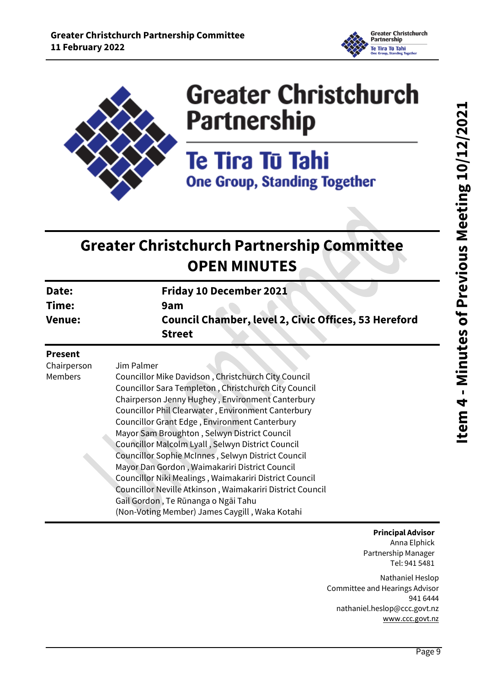

<span id="page-8-0"></span>

# **Greater Christchurch Partnership**

Te Tira Tū Tahi **One Group, Standing Together** 

# **Greater Christchurch Partnership Committee OPEN MINUTES**

| Date:         | <b>Friday 10 December 2021</b>                              |
|---------------|-------------------------------------------------------------|
| Time:         | 9am                                                         |
| <b>Venue:</b> | <b>Council Chamber, level 2, Civic Offices, 53 Hereford</b> |
|               | <b>Street</b>                                               |

# **Present**

Chairperson Members

Jim Palmer Councillor Mike Davidson , Christchurch City Council Councillor Sara Templeton , Christchurch City Council Chairperson Jenny Hughey , Environment Canterbury Councillor Phil Clearwater , Environment Canterbury Councillor Grant Edge , Environment Canterbury Mayor Sam Broughton , Selwyn District Council Councillor Malcolm Lyall , Selwyn District Council Councillor Sophie McInnes , Selwyn District Council Mayor Dan Gordon , Waimakariri District Council Councillor Niki Mealings , Waimakariri District Council Councillor Neville Atkinson , Waimakariri District Council Gail Gordon , Te Rūnanga o Ngāi Tahu (Non-Voting Member) James Caygill , Waka Kotahi

# **Principal Advisor**

Anna Elphick Partnership Manager Tel: 941 5481

Nathaniel Heslop Committee and Hearings Advisor 941 6444 nathaniel.heslop@ccc.govt.nz [www.ccc.govt.nz](http://www.ccc.govt.nz/)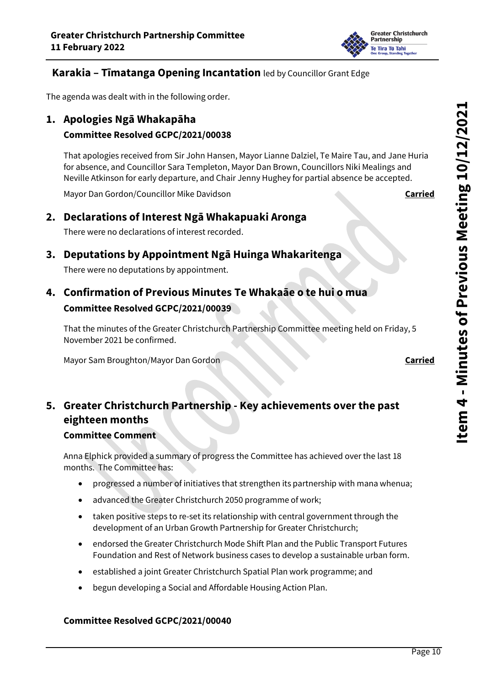

# **Karakia – Tīmatanga Opening Incantation** led by Councillor Grant Edge

The agenda was dealt with in the following order.

# **1. Apologies Ngā Whakapāha**

# **Committee Resolved GCPC/2021/00038**

That apologies received from Sir John Hansen, Mayor Lianne Dalziel, Te Maire Tau, and Jane Huria for absence, and Councillor Sara Templeton, Mayor Dan Brown, Councillors Niki Mealings and Neville Atkinson for early departure, and Chair Jenny Hughey for partial absence be accepted.

Mayor Dan Gordon/Councillor Mike Davidson **Carried**

# **2. Declarations of Interest Ngā Whakapuaki Aronga**

There were no declarations of interest recorded.

# **3. Deputations by Appointment Ngā Huinga Whakaritenga**

There were no deputations by appointment.

# **4. Confirmation of Previous Minutes Te Whakaāe o te hui o mua Committee Resolved GCPC/2021/00039**

That the minutes of the Greater Christchurch Partnership Committee meeting held on Friday, 5 November 2021 be confirmed.

Mayor Sam Broughton/Mayor Dan Gordon **Carried Carried** 

# **5. Greater Christchurch Partnership - Key achievements over the past eighteen months**

# **Committee Comment**

Anna Elphick provided a summary of progress the Committee has achieved over the last 18 months. The Committee has:

- progressed a number of initiatives that strengthen its partnership with mana whenua;
- advanced the Greater Christchurch 2050 programme of work;
- taken positive steps to re-set its relationship with central government through the development of an Urban Growth Partnership for Greater Christchurch;
- endorsed the Greater Christchurch Mode Shift Plan and the Public Transport Futures Foundation and Rest of Network business cases to develop a sustainable urban form.
- established a joint Greater Christchurch Spatial Plan work programme; and
- begun developing a Social and Affordable Housing Action Plan.

# **Committee Resolved GCPC/2021/00040**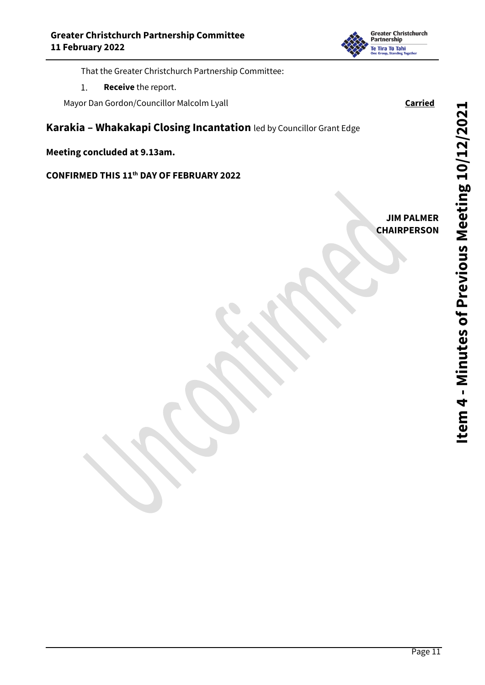

That the Greater Christchurch Partnership Committee:

**Receive** the report.  $1.$ 

Mayor Dan Gordon/Councillor Malcolm Lyall **Carried**

**Karakia – Whakakapi Closing Incantation** led by Councillor Grant Edge

**Meeting concluded at 9.13am.**

**CONFIRMED THIS 11th DAY OF FEBRUARY 2022**

**JIM PALMER CHAIRPERSON**